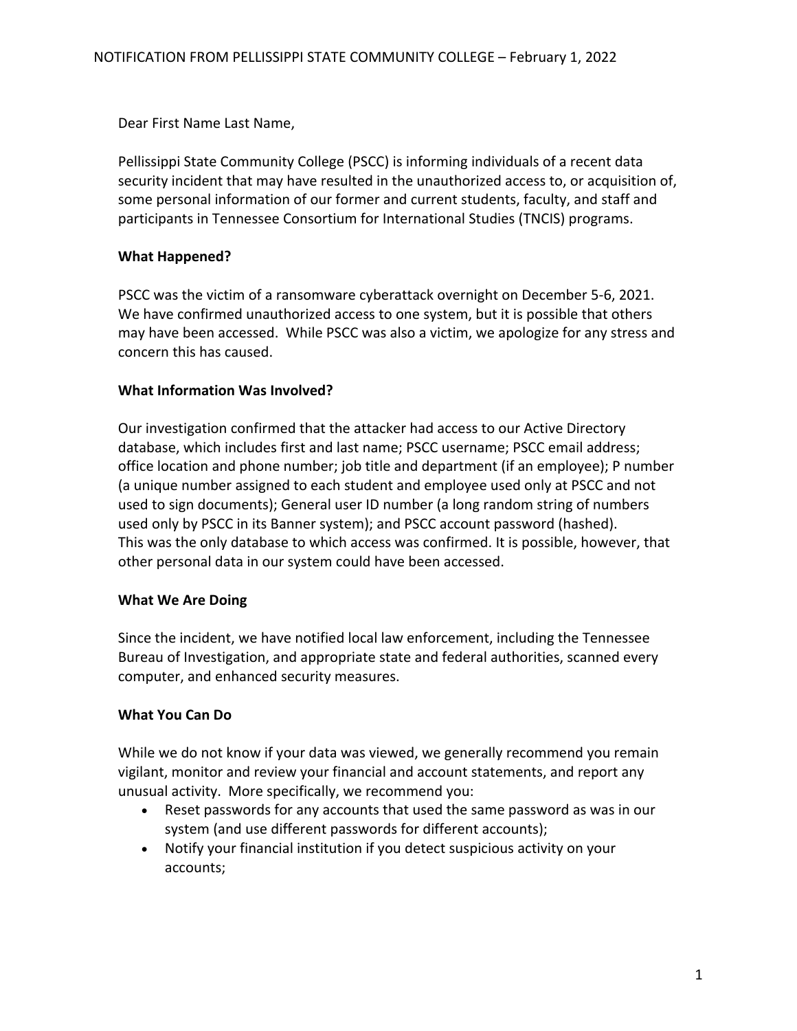Dear First Name Last Name,

Pellissippi State Community College (PSCC) is informing individuals of a recent data security incident that may have resulted in the unauthorized access to, or acquisition of, some personal information of our former and current students, faculty, and staff and participants in Tennessee Consortium for International Studies (TNCIS) programs.

# **What Happened?**

PSCC was the victim of a ransomware cyberattack overnight on December 5-6, 2021. We have confirmed unauthorized access to one system, but it is possible that others may have been accessed. While PSCC was also a victim, we apologize for any stress and concern this has caused.

# **What Information Was Involved?**

Our investigation confirmed that the attacker had access to our Active Directory database, which includes first and last name; PSCC username; PSCC email address; office location and phone number; job title and department (if an employee); P number (a unique number assigned to each student and employee used only at PSCC and not used to sign documents); General user ID number (a long random string of numbers used only by PSCC in its Banner system); and PSCC account password (hashed). This was the only database to which access was confirmed. It is possible, however, that other personal data in our system could have been accessed.

# **What We Are Doing**

Since the incident, we have notified local law enforcement, including the Tennessee Bureau of Investigation, and appropriate state and federal authorities, scanned every computer, and enhanced security measures.

# **What You Can Do**

While we do not know if your data was viewed, we generally recommend you remain vigilant, monitor and review your financial and account statements, and report any unusual activity. More specifically, we recommend you:

- Reset passwords for any accounts that used the same password as was in our system (and use different passwords for different accounts);
- Notify your financial institution if you detect suspicious activity on your accounts;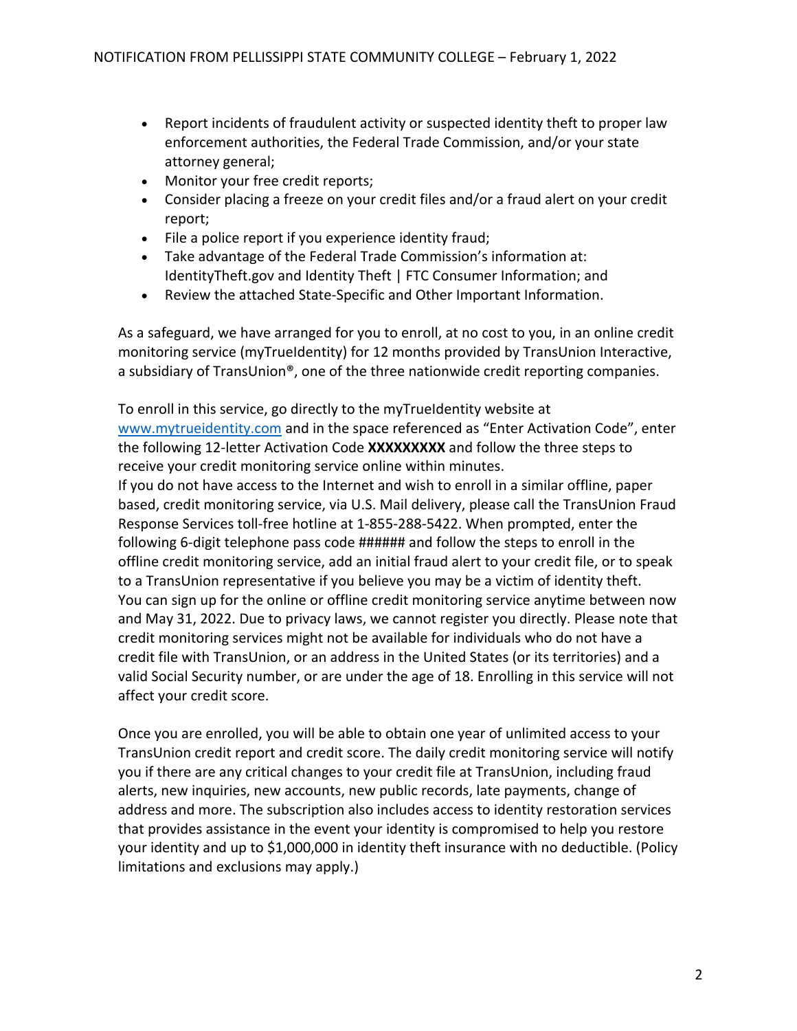- Report incidents of fraudulent activity or suspected identity theft to proper law enforcement authorities, the Federal Trade Commission, and/or your state attorney general;
- Monitor your free credit reports;
- Consider placing a freeze on your credit files and/or a fraud alert on your credit report;
- File a police report if you experience identity fraud;
- Take advantage of the Federal Trade Commission's information at: IdentityTheft.gov and Identity Theft | FTC Consumer Information; and
- Review the attached State-Specific and Other Important Information.

As a safeguard, we have arranged for you to enroll, at no cost to you, in an online credit monitoring service (myTrueIdentity) for 12 months provided by TransUnion Interactive, a subsidiary of TransUnion®, one of the three nationwide credit reporting companies.

To enroll in this service, go directly to the myTrueIdentity website at www.mytrueidentity.com and in the space referenced as "Enter Activation Code", enter the following 12-letter Activation Code **XXXXXXXXX** and follow the three steps to receive your credit monitoring service online within minutes.

If you do not have access to the Internet and wish to enroll in a similar offline, paper based, credit monitoring service, via U.S. Mail delivery, please call the TransUnion Fraud Response Services toll-free hotline at 1-855-288-5422. When prompted, enter the following 6-digit telephone pass code ###### and follow the steps to enroll in the offline credit monitoring service, add an initial fraud alert to your credit file, or to speak to a TransUnion representative if you believe you may be a victim of identity theft. You can sign up for the online or offline credit monitoring service anytime between now and May 31, 2022. Due to privacy laws, we cannot register you directly. Please note that credit monitoring services might not be available for individuals who do not have a credit file with TransUnion, or an address in the United States (or its territories) and a valid Social Security number, or are under the age of 18. Enrolling in this service will not affect your credit score.

Once you are enrolled, you will be able to obtain one year of unlimited access to your TransUnion credit report and credit score. The daily credit monitoring service will notify you if there are any critical changes to your credit file at TransUnion, including fraud alerts, new inquiries, new accounts, new public records, late payments, change of address and more. The subscription also includes access to identity restoration services that provides assistance in the event your identity is compromised to help you restore your identity and up to \$1,000,000 in identity theft insurance with no deductible. (Policy limitations and exclusions may apply.)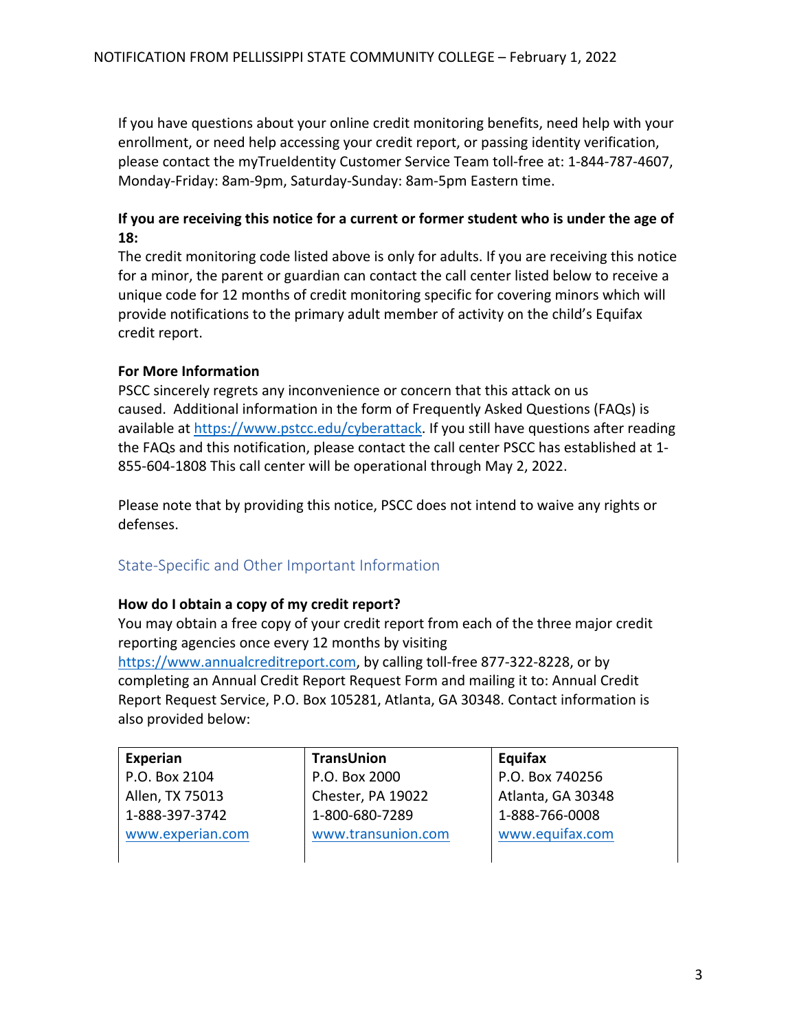If you have questions about your online credit monitoring benefits, need help with your enrollment, or need help accessing your credit report, or passing identity verification, please contact the myTrueIdentity Customer Service Team toll-free at: 1-844-787-4607, Monday-Friday: 8am-9pm, Saturday-Sunday: 8am-5pm Eastern time.

# **If you are receiving this notice for a current or former student who is under the age of 18:**

The credit monitoring code listed above is only for adults. If you are receiving this notice for a minor, the parent or guardian can contact the call center listed below to receive a unique code for 12 months of credit monitoring specific for covering minors which will provide notifications to the primary adult member of activity on the child's Equifax credit report.

#### **For More Information**

PSCC sincerely regrets any inconvenience or concern that this attack on us caused. Additional information in the form of Frequently Asked Questions (FAQs) is available at https://www.pstcc.edu/cyberattack. If you still have questions after reading the FAQs and this notification, please contact the call center PSCC has established at 1- 855-604-1808 This call center will be operational through May 2, 2022.

Please note that by providing this notice, PSCC does not intend to waive any rights or defenses.

# State-Specific and Other Important Information

#### **How do I obtain a copy of my credit report?**

You may obtain a free copy of your credit report from each of the three major credit reporting agencies once every 12 months by visiting https://www.annualcreditreport.com, by calling toll-free 877-322-8228, or by completing an Annual Credit Report Request Form and mailing it to: Annual Credit Report Request Service, P.O. Box 105281, Atlanta, GA 30348. Contact information is also provided below:

| Experian         | TransUnion         | Equifax           |
|------------------|--------------------|-------------------|
| P.O. Box 2104    | P.O. Box 2000      | P.O. Box 740256   |
| Allen, TX 75013  | Chester, PA 19022  | Atlanta, GA 30348 |
| 1-888-397-3742   | 1-800-680-7289     | 1-888-766-0008    |
| www.experian.com | www.transunion.com | www.equifax.com   |
|                  |                    |                   |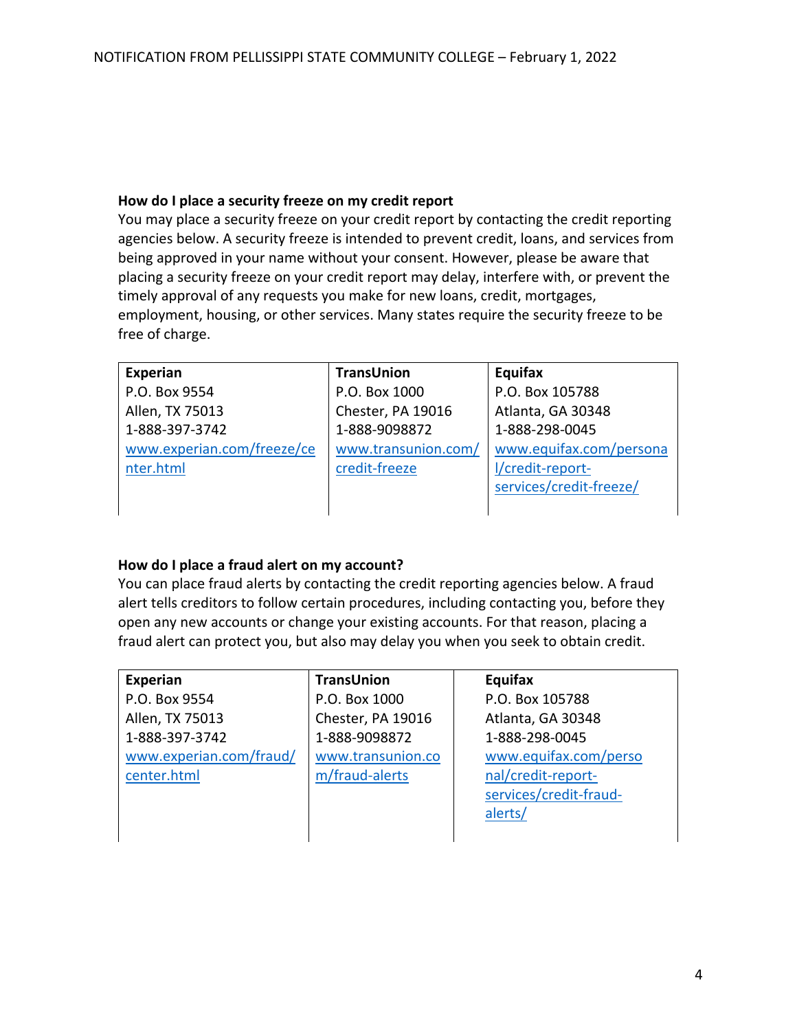#### **How do I place a security freeze on my credit report**

You may place a security freeze on your credit report by contacting the credit reporting agencies below. A security freeze is intended to prevent credit, loans, and services from being approved in your name without your consent. However, please be aware that placing a security freeze on your credit report may delay, interfere with, or prevent the timely approval of any requests you make for new loans, credit, mortgages, employment, housing, or other services. Many states require the security freeze to be free of charge.

| Experian                   | <b>TransUnion</b>   | Equifax                 |
|----------------------------|---------------------|-------------------------|
| P.O. Box 9554              | P.O. Box 1000       | P.O. Box 105788         |
| Allen, TX 75013            | Chester, PA 19016   | Atlanta, GA 30348       |
| 1-888-397-3742             | 1-888-9098872       | 1-888-298-0045          |
| www.experian.com/freeze/ce | www.transunion.com/ | www.equifax.com/persona |
| nter.html                  | credit-freeze       | l/credit-report-        |
|                            |                     | services/credit-freeze/ |
|                            |                     |                         |

# **How do I place a fraud alert on my account?**

You can place fraud alerts by contacting the credit reporting agencies below. A fraud alert tells creditors to follow certain procedures, including contacting you, before they open any new accounts or change your existing accounts. For that reason, placing a fraud alert can protect you, but also may delay you when you seek to obtain credit.

| <b>Experian</b>         | <b>TransUnion</b> | Equifax                |
|-------------------------|-------------------|------------------------|
| P.O. Box 9554           | P.O. Box 1000     | P.O. Box 105788        |
| Allen, TX 75013         | Chester, PA 19016 | Atlanta, GA 30348      |
| 1-888-397-3742          | 1-888-9098872     | 1-888-298-0045         |
| www.experian.com/fraud/ | www.transunion.co | www.equifax.com/perso  |
| center.html             | m/fraud-alerts    | nal/credit-report-     |
|                         |                   | services/credit-fraud- |
|                         |                   | alerts/                |
|                         |                   |                        |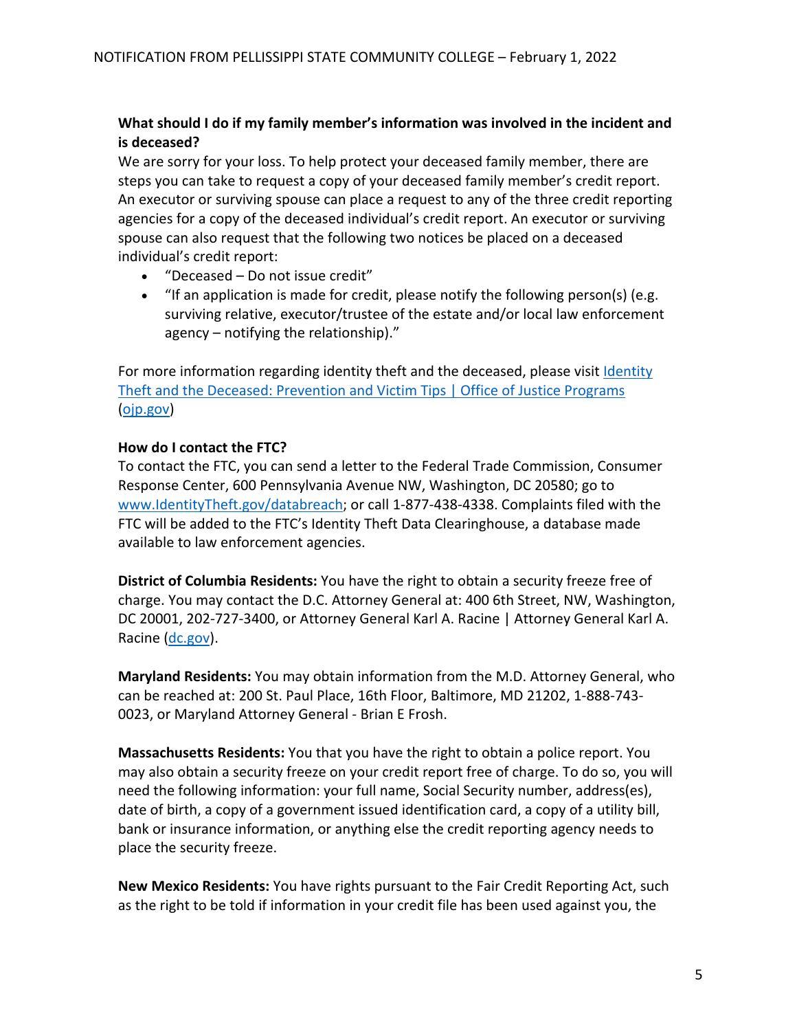# **What should I do if my family member's information was involved in the incident and is deceased?**

We are sorry for your loss. To help protect your deceased family member, there are steps you can take to request a copy of your deceased family member's credit report. An executor or surviving spouse can place a request to any of the three credit reporting agencies for a copy of the deceased individual's credit report. An executor or surviving spouse can also request that the following two notices be placed on a deceased individual's credit report:

- "Deceased Do not issue credit"
- "If an application is made for credit, please notify the following person(s) (e.g. surviving relative, executor/trustee of the estate and/or local law enforcement agency – notifying the relationship)."

For more information regarding identity theft and the deceased, please visit Identity Theft and the Deceased: Prevention and Victim Tips | Office of Justice Programs (ojp.gov)

#### **How do I contact the FTC?**

To contact the FTC, you can send a letter to the Federal Trade Commission, Consumer Response Center, 600 Pennsylvania Avenue NW, Washington, DC 20580; go to www.IdentityTheft.gov/databreach; or call 1-877-438-4338. Complaints filed with the FTC will be added to the FTC's Identity Theft Data Clearinghouse, a database made available to law enforcement agencies.

**District of Columbia Residents:** You have the right to obtain a security freeze free of charge. You may contact the D.C. Attorney General at: 400 6th Street, NW, Washington, DC 20001, 202-727-3400, or Attorney General Karl A. Racine | Attorney General Karl A. Racine (dc.gov).

**Maryland Residents:** You may obtain information from the M.D. Attorney General, who can be reached at: 200 St. Paul Place, 16th Floor, Baltimore, MD 21202, 1-888-743- 0023, or Maryland Attorney General - Brian E Frosh.

**Massachusetts Residents:** You that you have the right to obtain a police report. You may also obtain a security freeze on your credit report free of charge. To do so, you will need the following information: your full name, Social Security number, address(es), date of birth, a copy of a government issued identification card, a copy of a utility bill, bank or insurance information, or anything else the credit reporting agency needs to place the security freeze.

**New Mexico Residents:** You have rights pursuant to the Fair Credit Reporting Act, such as the right to be told if information in your credit file has been used against you, the